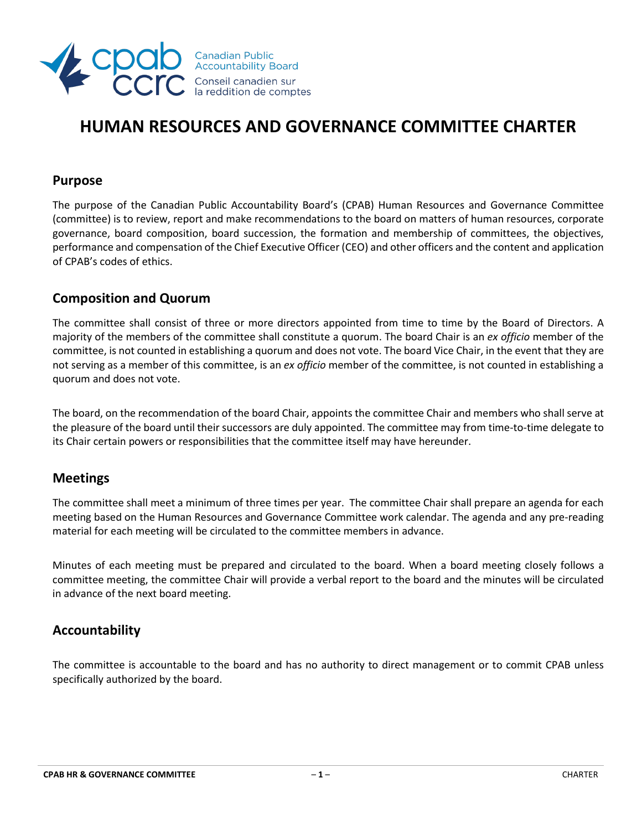

# **HUMAN RESOURCES AND GOVERNANCE COMMITTEE CHARTER**

### **Purpose**

The purpose of the Canadian Public Accountability Board's (CPAB) Human Resources and Governance Committee (committee) is to review, report and make recommendations to the board on matters of human resources, corporate governance, board composition, board succession, the formation and membership of committees, the objectives, performance and compensation of the Chief Executive Officer (CEO) and other officers and the content and application of CPAB's codes of ethics.

# **Composition and Quorum**

The committee shall consist of three or more directors appointed from time to time by the Board of Directors. A majority of the members of the committee shall constitute a quorum. The board Chair is an *ex officio* member of the committee, is not counted in establishing a quorum and does not vote. The board Vice Chair, in the event that they are not serving as a member of this committee, is an *ex officio* member of the committee, is not counted in establishing a quorum and does not vote.

The board, on the recommendation of the board Chair, appoints the committee Chair and members who shall serve at the pleasure of the board until their successors are duly appointed. The committee may from time-to-time delegate to its Chair certain powers or responsibilities that the committee itself may have hereunder.

### **Meetings**

The committee shall meet a minimum of three times per year. The committee Chair shall prepare an agenda for each meeting based on the Human Resources and Governance Committee work calendar. The agenda and any pre-reading material for each meeting will be circulated to the committee members in advance.

Minutes of each meeting must be prepared and circulated to the board. When a board meeting closely follows a committee meeting, the committee Chair will provide a verbal report to the board and the minutes will be circulated in advance of the next board meeting.

# **Accountability**

The committee is accountable to the board and has no authority to direct management or to commit CPAB unless specifically authorized by the board.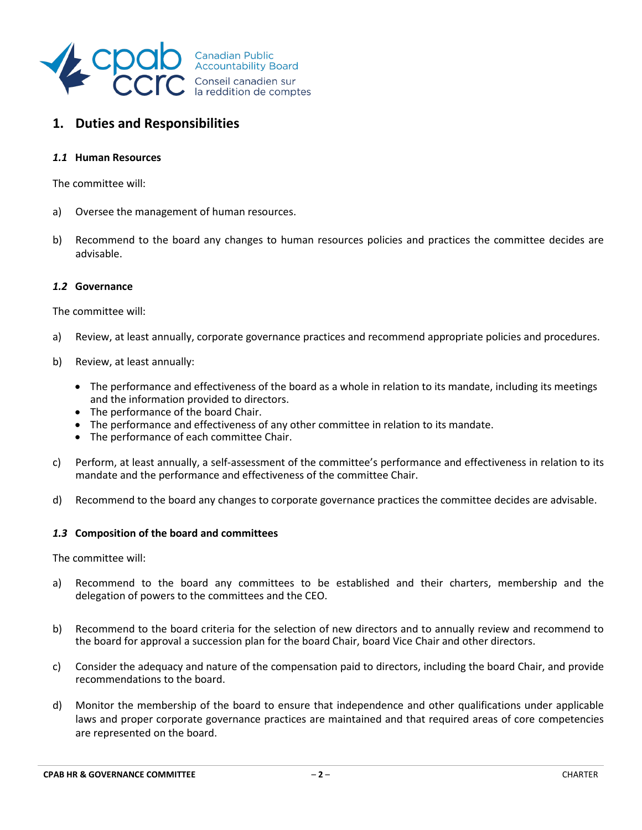

# **1. Duties and Responsibilities**

#### *1.1* **Human Resources**

The committee will:

- a) Oversee the management of human resources.
- b) Recommend to the board any changes to human resources policies and practices the committee decides are advisable.

#### *1.2* **Governance**

The committee will:

- a) Review, at least annually, corporate governance practices and recommend appropriate policies and procedures.
- b) Review, at least annually:
	- The performance and effectiveness of the board as a whole in relation to its mandate, including its meetings and the information provided to directors.
	- The performance of the board Chair.
	- The performance and effectiveness of any other committee in relation to its mandate.
	- The performance of each committee Chair.
- c) Perform, at least annually, a self-assessment of the committee's performance and effectiveness in relation to its mandate and the performance and effectiveness of the committee Chair.
- d) Recommend to the board any changes to corporate governance practices the committee decides are advisable.

#### *1.3* **Composition of the board and committees**

The committee will:

- a) Recommend to the board any committees to be established and their charters, membership and the delegation of powers to the committees and the CEO.
- b) Recommend to the board criteria for the selection of new directors and to annually review and recommend to the board for approval a succession plan for the board Chair, board Vice Chair and other directors.
- c) Consider the adequacy and nature of the compensation paid to directors, including the board Chair, and provide recommendations to the board.
- d) Monitor the membership of the board to ensure that independence and other qualifications under applicable laws and proper corporate governance practices are maintained and that required areas of core competencies are represented on the board.